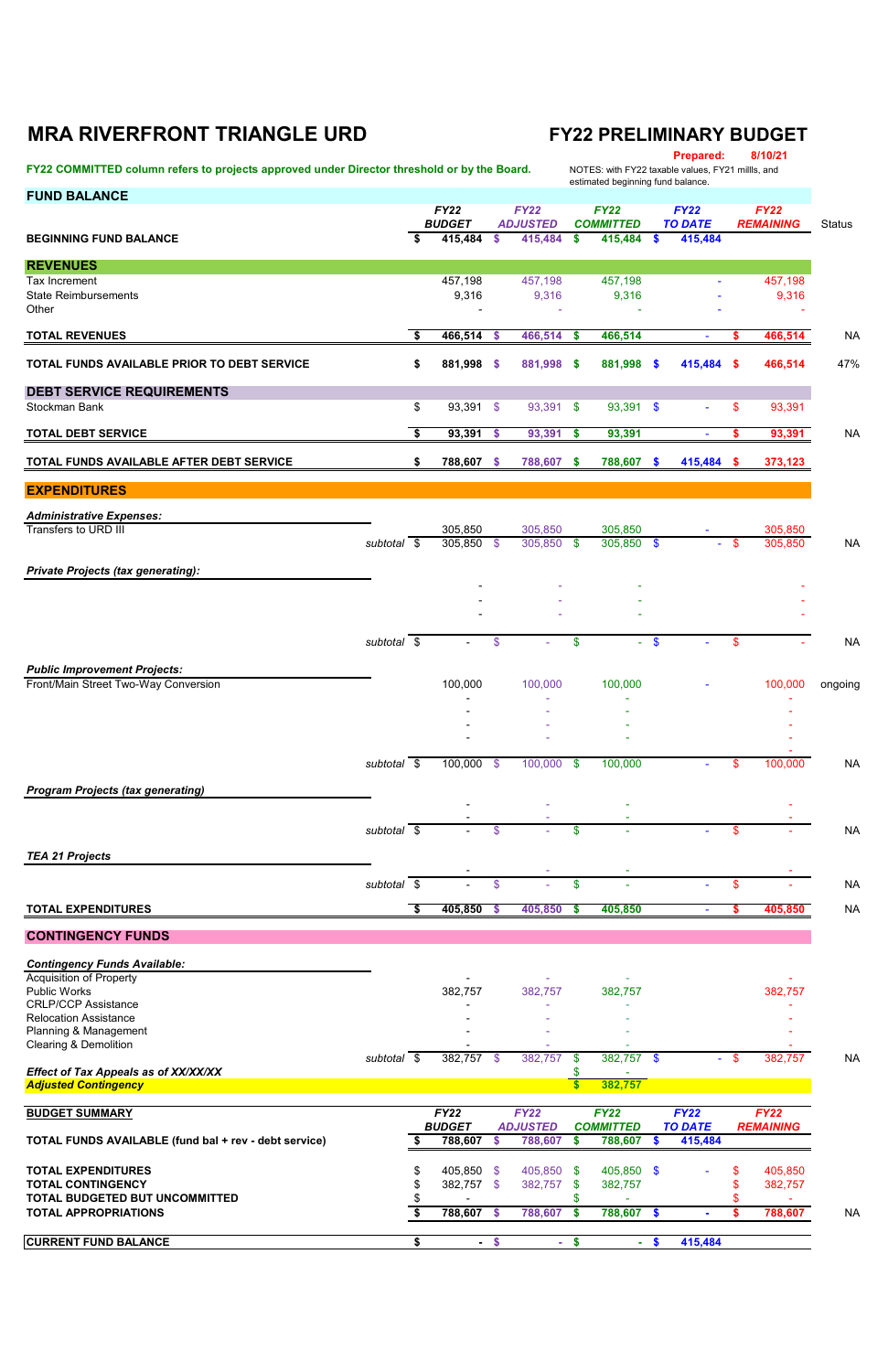# **MRA RIVERFRONT TRIANGLE URD FY22 PRELIMINARY BUDGET**

FY22 COMMITTED column refers to projects approved under Director threshold or by the Board.

**Prepared:** 8/10/21<br>NOTES: with FY22 taxable values, FY21 millis, and estimated beginning fund balance.

| <b>FUND BALANCE</b>                         |                     |    |                              |               |                                |                   |                                 |        |                               |                           |                                 |           |
|---------------------------------------------|---------------------|----|------------------------------|---------------|--------------------------------|-------------------|---------------------------------|--------|-------------------------------|---------------------------|---------------------------------|-----------|
|                                             |                     |    | <b>FY22</b><br><b>BUDGET</b> |               | <b>FY22</b><br><b>ADJUSTED</b> |                   | <b>FY22</b><br><b>COMMITTED</b> |        | <b>FY22</b><br><b>TO DATE</b> |                           | <b>FY22</b><br><b>REMAINING</b> | Status    |
| <b>BEGINNING FUND BALANCE</b>               |                     | \$ | 415,484                      | S.            | 415,484                        | $\mathbf{\$}$     | $415,484$ \$                    |        | 415,484                       |                           |                                 |           |
| <b>REVENUES</b>                             |                     |    |                              |               |                                |                   |                                 |        |                               |                           |                                 |           |
| Tax Increment                               |                     |    | 457,198                      |               | 457,198                        |                   | 457,198                         |        |                               |                           | 457,198                         |           |
| <b>State Reimbursements</b><br>Other        |                     |    | 9,316                        |               | 9,316                          |                   | 9,316                           |        |                               |                           | 9,316                           |           |
| <b>TOTAL REVENUES</b>                       |                     | \$ | 466,514 \$                   |               | 466,514 \$                     |                   | 466,514                         |        | ÷                             | \$.                       | 466,514                         | <b>NA</b> |
| TOTAL FUNDS AVAILABLE PRIOR TO DEBT SERVICE |                     | \$ | 881,998 \$                   |               | 881,998 \$                     |                   | 881,998 \$                      |        | 415,484 \$                    |                           | 466,514                         | 47%       |
| <b>DEBT SERVICE REQUIREMENTS</b>            |                     |    |                              |               |                                |                   |                                 |        |                               |                           |                                 |           |
| Stockman Bank                               |                     | \$ | 93,391 \$                    |               | 93,391                         | \$                | 93,391 \$                       |        | ÷.                            | $\boldsymbol{\mathsf{S}}$ | 93,391                          |           |
| <b>TOTAL DEBT SERVICE</b>                   |                     | \$ | 93,391                       | $\frac{1}{2}$ | 93,391                         | $\boldsymbol{\$}$ | 93,391                          |        | $\mathcal{L}_{\mathcal{A}}$   | \$                        | 93,391                          | <b>NA</b> |
| TOTAL FUNDS AVAILABLE AFTER DEBT SERVICE    |                     | \$ | 788,607                      | $\sqrt[6]{3}$ | 788,607                        | $\sqrt[6]{3}$     | 788,607 \$                      |        | 415,484 \$                    |                           | 373,123                         |           |
| <b>EXPENDITURES</b>                         |                     |    |                              |               |                                |                   |                                 |        |                               |                           |                                 |           |
| <b>Administrative Expenses:</b>             |                     |    |                              |               |                                |                   |                                 |        |                               |                           |                                 |           |
| Transfers to URD III                        | subtotal $\sqrt{s}$ |    | 305,850<br>305,850 \$        |               | 305,850<br>$305,850$ \$        |                   | 305,850<br>$305,850$ \$         |        |                               | -S                        | 305,850<br>305,850              | <b>NA</b> |
|                                             |                     |    |                              |               |                                |                   |                                 |        |                               |                           |                                 |           |
| <b>Private Projects (tax generating):</b>   |                     |    |                              |               |                                |                   |                                 |        |                               |                           |                                 |           |
|                                             |                     |    |                              |               |                                |                   |                                 |        |                               |                           |                                 |           |
|                                             |                     |    |                              |               |                                |                   |                                 |        |                               |                           |                                 |           |
|                                             | subtotal $\sqrt{s}$ |    | $\blacksquare$               | \$            | $\sim$                         | \$                |                                 | $-$ \$ | ٠                             | \$                        |                                 | <b>NA</b> |
| <b>Public Improvement Projects:</b>         |                     |    |                              |               |                                |                   |                                 |        |                               |                           |                                 |           |
| Front/Main Street Two-Way Conversion        |                     |    | 100,000                      |               | 100,000                        |                   | 100,000                         |        | $\blacksquare$                |                           | 100,000                         | ongoing   |
|                                             |                     |    |                              |               |                                |                   |                                 |        |                               |                           |                                 |           |
|                                             |                     |    |                              |               |                                |                   |                                 |        |                               |                           |                                 |           |
|                                             |                     |    |                              |               |                                |                   |                                 |        |                               |                           |                                 |           |
|                                             | subtotal $\sqrt{s}$ |    | 100,000                      | $\sqrt[6]{3}$ | 100,000                        | $\mathbf{\$}$     | 100,000                         |        |                               | $\mathfrak{S}$            | 100,000                         | <b>NA</b> |
| <b>Program Projects (tax generating)</b>    |                     |    |                              |               |                                |                   |                                 |        |                               |                           |                                 |           |
|                                             |                     |    |                              |               |                                |                   |                                 |        |                               |                           |                                 |           |
|                                             | subtotal $\sqrt{s}$ |    |                              | \$            |                                | \$                |                                 |        |                               | \$                        |                                 | <b>NA</b> |
| <b>TEA 21 Projects</b>                      |                     |    |                              |               |                                |                   |                                 |        |                               |                           |                                 |           |
|                                             | subtotal $\sqrt{s}$ |    |                              | \$            |                                | \$                |                                 |        | ÷                             | $\frac{1}{2}$             |                                 | <b>NA</b> |
| <b>TOTAL EXPENDITURES</b>                   |                     | S. | 405,850                      | $\mathbf s$   | 405,850                        | \$                | 405,850                         |        | ۰                             | s                         | 405,850                         | <b>NA</b> |
| <b>CONTINGENCY FUNDS</b>                    |                     |    |                              |               |                                |                   |                                 |        |                               |                           |                                 |           |
|                                             |                     |    |                              |               |                                |                   |                                 |        |                               |                           |                                 |           |
| <b>Contingency Funds Available:</b>         |                     |    |                              |               |                                |                   |                                 |        |                               |                           |                                 |           |

| <b>Acquisition of Property</b> |         |         |         |         |
|--------------------------------|---------|---------|---------|---------|
| Public Works                   | 382,757 | 382.757 | 382.757 | 382.75i |
| <b>CRLP/CCP Assistance</b>     |         |         |         |         |

| <b>Relocation Assistance</b><br>Planning & Management        |          |    |                |    |                 |      |                  |                          |   |                  |           |
|--------------------------------------------------------------|----------|----|----------------|----|-----------------|------|------------------|--------------------------|---|------------------|-----------|
| <b>Clearing &amp; Demolition</b>                             | subtotal | -S | 382,757        | -S | 382,757         |      | 382,757 \$       | $\sim$                   |   | 382,757          | <b>NA</b> |
| <b>Effect of Tax Appeals as of XX/XX/XX</b>                  |          |    |                |    |                 |      |                  |                          |   |                  |           |
| <b>Adjusted Contingency</b>                                  |          |    |                |    |                 |      | 382,757          |                          |   |                  |           |
| <b>BUDGET SUMMARY</b>                                        |          |    | <b>FY22</b>    |    | FY22            |      | <b>FY22</b>      | FY22                     |   | FY22             |           |
|                                                              |          |    | <b>BUDGET</b>  |    | <b>ADJUSTED</b> |      | <b>COMMITTED</b> | <b>TO DATE</b>           |   | <b>REMAINING</b> |           |
| <b>TOTAL FUNDS AVAILABLE (fund bal + rev - debt service)</b> |          |    | 788,607        |    | 788,607         |      | 788,607          | 415,484                  |   |                  |           |
| <b>TOTAL EXPENDITURES</b>                                    |          | \$ | 405,850 \$     |    | 405,850         | - \$ | 405,850 \$       | $\overline{\phantom{a}}$ | S | 405,850          |           |
| <b>TOTAL CONTINGENCY</b>                                     |          |    | 382,757        | -S | 382,757         | \$.  | 382,757          |                          |   | 382,757          |           |
| <b>TOTAL BUDGETED BUT UNCOMMITTED</b>                        |          |    |                |    |                 |      | ۰                |                          |   |                  |           |
| <b>TOTAL APPROPRIATIONS</b>                                  |          |    | 788,607        |    | 788,607         |      | 788,607          |                          |   | 788,607          | <b>NA</b> |
| <b>CURRENT FUND BALANCE</b>                                  |          |    | $\blacksquare$ | ъ  | $\sim$          |      | ÷.               | 415,484                  |   |                  |           |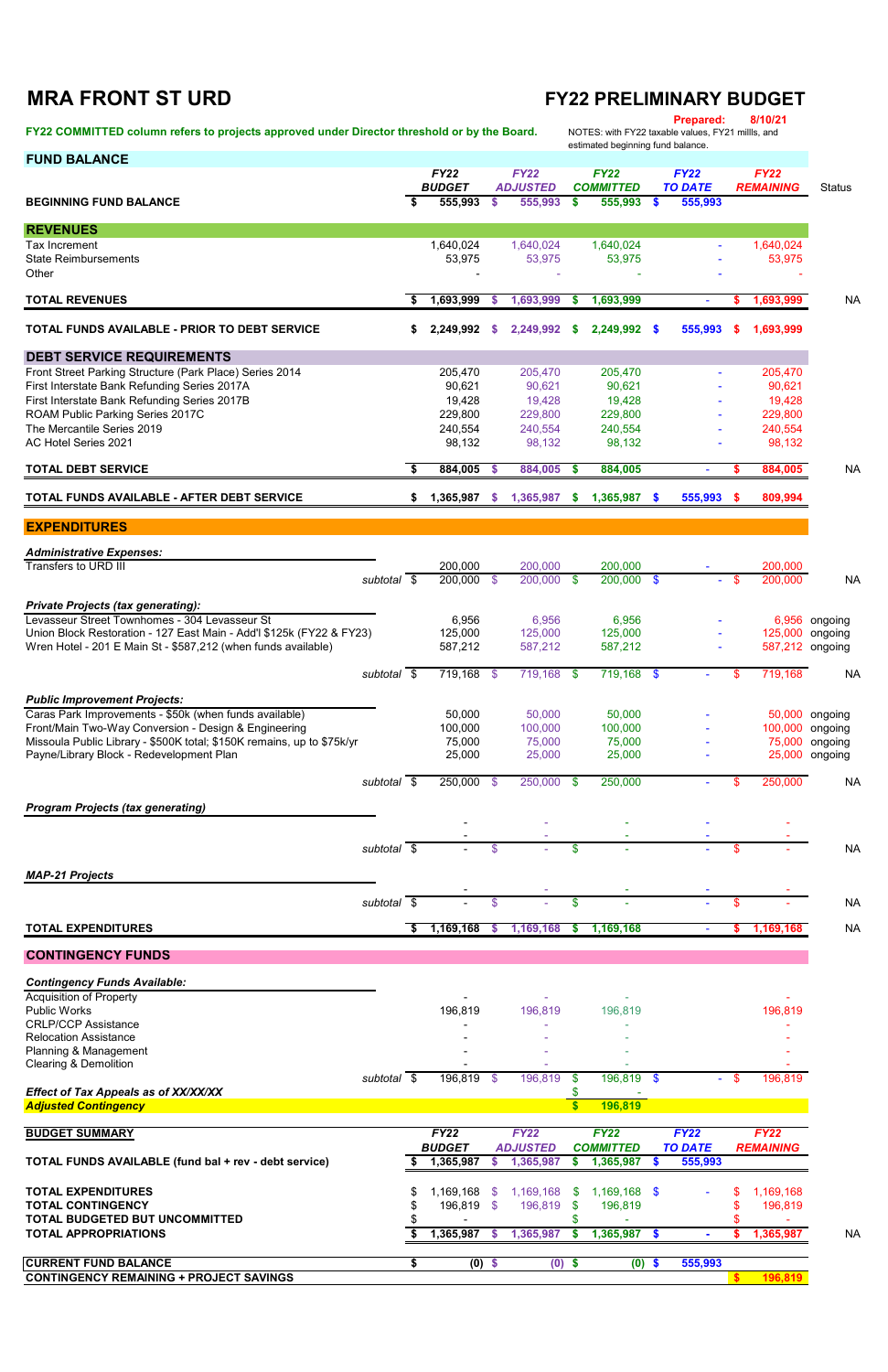## **MRA FRONT ST URD FY22 PRELIMINARY BUDGET**

FY22 COMMITTED column refers to projects approved under Director threshold or by the Board.

**Prepared:** 8/10/21<br>NOTES: with FY22 taxable values, FY21 millls, and estimated beginning fund balance.

| <b>FUND BALANCE</b>                                                                                                            |                     |    |                              |               |                                |            |                                 |           |                               |      |                                 |                    |
|--------------------------------------------------------------------------------------------------------------------------------|---------------------|----|------------------------------|---------------|--------------------------------|------------|---------------------------------|-----------|-------------------------------|------|---------------------------------|--------------------|
|                                                                                                                                |                     |    | <b>FY22</b><br><b>BUDGET</b> |               | <b>FY22</b><br><b>ADJUSTED</b> |            | <b>FY22</b><br><b>COMMITTED</b> |           | <b>FY22</b><br><b>TO DATE</b> |      | <b>FY22</b><br><b>REMAINING</b> | <b>Status</b>      |
| <b>BEGINNING FUND BALANCE</b>                                                                                                  |                     | \$ | 555,993                      | \$.           | 555,993                        | \$.        | 555,993                         | $\bullet$ | 555,993                       |      |                                 |                    |
| <b>REVENUES</b>                                                                                                                |                     |    |                              |               |                                |            |                                 |           |                               |      |                                 |                    |
| <b>Tax Increment</b>                                                                                                           |                     |    | 1,640,024                    |               | 1,640,024                      |            | 1,640,024                       |           |                               |      | 1,640,024                       |                    |
| <b>State Reimbursements</b><br>Other                                                                                           |                     |    | 53,975                       |               | 53,975                         |            | 53,975                          |           |                               |      | 53,975                          |                    |
| <b>TOTAL REVENUES</b>                                                                                                          |                     | S. | 1,693,999                    | S             | 1,693,999                      | \$         | 1,693,999                       |           | ÷.                            | S    | 1,693,999                       | <b>NA</b>          |
| TOTAL FUNDS AVAILABLE - PRIOR TO DEBT SERVICE                                                                                  |                     | S. | 2,249,992                    | $\mathbf{s}$  | 2,249,992                      | S          | 2,249,992 \$                    |           | 555,993                       | -5   | 1,693,999                       |                    |
| <b>DEBT SERVICE REQUIREMENTS</b>                                                                                               |                     |    |                              |               |                                |            |                                 |           |                               |      |                                 |                    |
| Front Street Parking Structure (Park Place) Series 2014                                                                        |                     |    | 205,470                      |               | 205,470                        |            | 205,470                         |           |                               |      | 205,470                         |                    |
| First Interstate Bank Refunding Series 2017A                                                                                   |                     |    | 90,621                       |               | 90,621                         |            | 90,621                          |           |                               |      | 90,621                          |                    |
| First Interstate Bank Refunding Series 2017B<br>ROAM Public Parking Series 2017C                                               |                     |    | 19,428<br>229,800            |               | 19,428<br>229,800              |            | 19,428<br>229,800               |           |                               |      | 19,428<br>229,800               |                    |
| The Mercantile Series 2019                                                                                                     |                     |    | 240,554                      |               | 240,554                        |            | 240,554                         |           |                               |      | 240,554                         |                    |
| AC Hotel Series 2021                                                                                                           |                     |    | 98,132                       |               | 98,132                         |            | 98,132                          |           |                               |      | 98,132                          |                    |
| <b>TOTAL DEBT SERVICE</b>                                                                                                      |                     | \$ | 884,005                      | <b>S</b>      | 884,005                        | <b>S</b>   | 884,005                         |           | $\mathbf{r}$                  | S    | 884,005                         | <b>NA</b>          |
| TOTAL FUNDS AVAILABLE - AFTER DEBT SERVICE                                                                                     |                     | S. | 1,365,987                    | <b>S</b>      | 1,365,987                      | S.         | 1,365,987 \$                    |           | 555,993 \$                    |      | 809,994                         |                    |
| <b>EXPENDITURES</b>                                                                                                            |                     |    |                              |               |                                |            |                                 |           |                               |      |                                 |                    |
| <b>Administrative Expenses:</b>                                                                                                |                     |    |                              |               |                                |            |                                 |           |                               |      |                                 |                    |
| <b>Transfers to URD III</b>                                                                                                    |                     |    | 200,000                      |               | 200,000                        |            | 200,000                         |           |                               |      | 200,000                         |                    |
|                                                                                                                                | subtotal \$         |    | 200,000                      | $\sqrt{3}$    | 200,000                        | $\sqrt{3}$ | 200,000 \$                      |           | н.                            | - \$ | 200,000                         | <b>NA</b>          |
| <b>Private Projects (tax generating):</b>                                                                                      |                     |    |                              |               |                                |            |                                 |           |                               |      |                                 |                    |
| Levasseur Street Townhomes - 304 Levasseur St                                                                                  |                     |    | 6,956                        |               | 6,956                          |            | 6,956                           |           |                               |      | 6,956                           | ongoing            |
| Union Block Restoration - 127 East Main - Add'l \$125k (FY22 & FY23)                                                           |                     |    | 125,000                      |               | 125,000                        |            | 125,000                         |           |                               |      | 125,000                         | ongoing            |
| Wren Hotel - 201 E Main St - \$587,212 (when funds available)                                                                  |                     |    | 587,212                      |               | 587,212                        |            | 587,212                         |           |                               |      |                                 | 587,212 ongoing    |
|                                                                                                                                | subtotal $\sqrt{5}$ |    | 719,168                      | - \$          | 719,168                        | - \$       | 719,168 \$                      |           |                               |      | 719,168                         | <b>NA</b>          |
| <b>Public Improvement Projects:</b>                                                                                            |                     |    |                              |               |                                |            |                                 |           |                               |      |                                 |                    |
| Caras Park Improvements - \$50k (when funds available)                                                                         |                     |    | 50,000                       |               | 50,000                         |            | 50,000                          |           |                               |      | 50,000                          | ongoing            |
| Front/Main Two-Way Conversion - Design & Engineering<br>Missoula Public Library - \$500K total; \$150K remains, up to \$75k/yr |                     |    | 100,000<br>75,000            |               | 100,000<br>75,000              |            | 100,000<br>75,000               |           |                               |      | 100,000<br>75,000               | ongoing            |
| Payne/Library Block - Redevelopment Plan                                                                                       |                     |    | 25,000                       |               | 25,000                         |            | 25,000                          |           |                               |      | 25,000                          | ongoing<br>ongoing |
|                                                                                                                                | subtotal $\sqrt{s}$ |    | 250,000                      | $\mathfrak s$ | 250,000                        | \$         | 250,000                         |           |                               |      | 250,000                         | <b>NA</b>          |
| <b>Program Projects (tax generating)</b>                                                                                       |                     |    |                              |               |                                |            |                                 |           |                               |      |                                 |                    |
|                                                                                                                                |                     |    |                              |               |                                |            |                                 |           |                               |      |                                 |                    |
|                                                                                                                                | subtotal $\sqrt{s}$ |    |                              |               |                                | \$         |                                 |           |                               |      |                                 | <b>NA</b>          |
| <b>MAP-21 Projects</b>                                                                                                         |                     |    |                              |               |                                |            |                                 |           |                               |      |                                 |                    |
|                                                                                                                                | subtotal \$         |    |                              | \$            |                                | \$         |                                 |           |                               |      |                                 | <b>NA</b>          |
| <b>TOTAL EXPENDITURES</b>                                                                                                      |                     |    | 1,169,168                    |               | 1,169,168                      | s          | 1,169,168                       |           |                               |      | 1,169,168                       | <b>NA</b>          |
| <b>CONTINGENCY FUNDS</b>                                                                                                       |                     |    |                              |               |                                |            |                                 |           |                               |      |                                 |                    |
| <b>Contingency Funds Available:</b>                                                                                            |                     |    |                              |               |                                |            |                                 |           |                               |      |                                 |                    |
|                                                                                                                                |                     |    |                              |               |                                |            |                                 |           |                               |      |                                 |                    |

Acquisition of Property - - - -

| <b>Public Works</b>                                          |          |      | 196,819       |                           | 196,819         |      | 196,819          |                |     | 196,819          |           |
|--------------------------------------------------------------|----------|------|---------------|---------------------------|-----------------|------|------------------|----------------|-----|------------------|-----------|
| <b>CRLP/CCP Assistance</b>                                   |          |      |               |                           |                 |      |                  |                |     |                  |           |
| <b>Relocation Assistance</b>                                 |          |      |               |                           |                 |      |                  |                |     |                  |           |
| Planning & Management                                        |          |      |               |                           |                 |      |                  |                |     |                  |           |
| <b>Clearing &amp; Demolition</b>                             |          |      |               |                           |                 |      |                  |                |     |                  |           |
|                                                              | subtotal | - \$ | 196,819       | $\mathfrak{S}$            | 196,819         | \$.  | 196,819 \$       | $\sim 10$      | -\$ | 196,819          |           |
| <b>Effect of Tax Appeals as of XX/XX/XX</b>                  |          |      |               |                           |                 |      |                  |                |     |                  |           |
| <b>Adjusted Contingency</b>                                  |          |      |               |                           |                 |      | 196,819          |                |     |                  |           |
|                                                              |          |      |               |                           |                 |      |                  |                |     |                  |           |
| <b>BUDGET SUMMARY</b>                                        |          |      | <b>FY22</b>   |                           | <b>FY22</b>     |      | <b>FY22</b>      | <b>FY22</b>    |     | <b>FY22</b>      |           |
|                                                              |          |      | <b>BUDGET</b> |                           | <b>ADJUSTED</b> |      | <b>COMMITTED</b> | <b>TO DATE</b> |     | <b>REMAINING</b> |           |
| <b>TOTAL FUNDS AVAILABLE (fund bal + rev - debt service)</b> |          |      | 1,365,987     |                           | 1,365,987       |      | 1,365,987        | 555,993        |     |                  |           |
| <b>TOTAL EXPENDITURES</b>                                    |          | \$.  | 1,169,168     | S.                        | 1,169,168       | -SS  | $1,169,168$ \$   |                | \$. | 1,169,168        |           |
| <b>TOTAL CONTINGENCY</b>                                     |          |      | 196,819       | -SS                       | 196,819         | -SS  | 196,819          |                |     | 196,819          |           |
| TOTAL BUDGETED BUT UNCOMMITTED                               |          |      |               |                           |                 |      |                  |                |     |                  |           |
| <b>TOTAL APPROPRIATIONS</b>                                  |          |      | 1,365,987     | S.                        | 1,365,987       | S    | 1,365,987        |                |     | 1,365,987        | <b>NA</b> |
| <b>CURRENT FUND BALANCE</b>                                  |          |      | (0)           | $\boldsymbol{\mathsf{s}}$ | (0)             | - \$ | $(0)$ \$         | 555,993        |     |                  |           |
| <b>CONTINGENCY REMAINING + PROJECT SAVINGS</b>               |          |      |               |                           |                 |      |                  |                |     | 196,819          |           |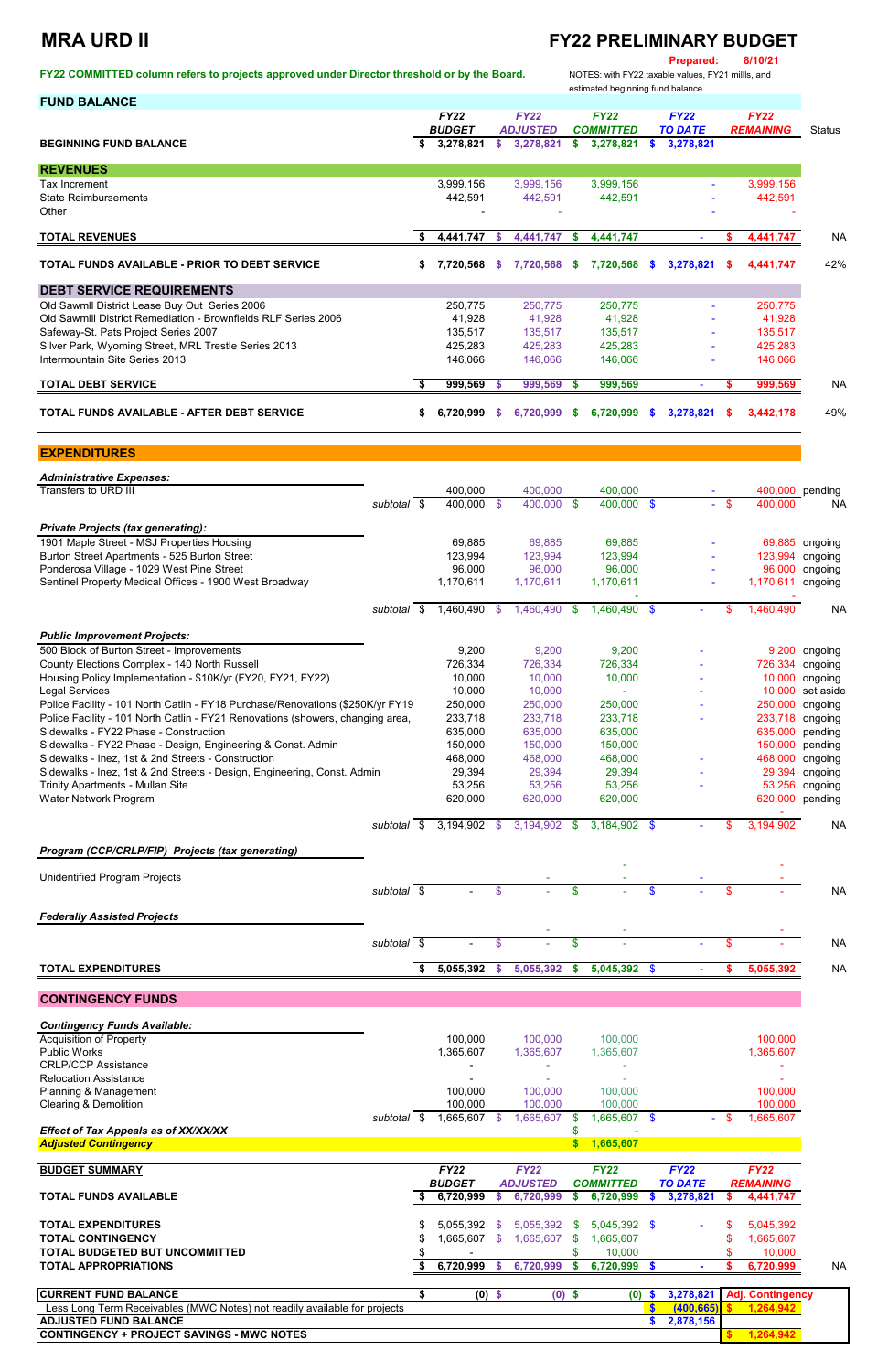### **MRA URD II FY22 PRELIMINARY BUDGET**

**Prepared: 8/10/21**

**FY22 COMMITTED column refers to projects approved under Director threshold or by the Board.** NOTES: with FY22 taxable values, FY21 millls, and

estimated beginning fund balance.

| <b>FUND BALANCE</b>                                                            |                     |      |                         |                           |                           |                           |                       |                  |                |          |                            |                |
|--------------------------------------------------------------------------------|---------------------|------|-------------------------|---------------------------|---------------------------|---------------------------|-----------------------|------------------|----------------|----------|----------------------------|----------------|
|                                                                                |                     |      | <b>FY22</b>             |                           | <b>FY22</b>               |                           | <b>FY22</b>           |                  | <b>FY22</b>    |          | <b>FY22</b>                |                |
|                                                                                |                     |      | <b>BUDGET</b>           |                           | <b>ADJUSTED</b>           |                           | <b>COMMITTED</b>      |                  | <b>TO DATE</b> |          | <b>REMAINING</b>           | Status         |
| <b>BEGINNING FUND BALANCE</b>                                                  |                     | \$   | 3,278,821               | $\mathbf{s}$              | 3,278,821                 | $\boldsymbol{\mathsf{s}}$ | 3,278,821             | - \$             | 3,278,821      |          |                            |                |
| <b>REVENUES</b>                                                                |                     |      |                         |                           |                           |                           |                       |                  |                |          |                            |                |
| Tax Increment                                                                  |                     |      | 3,999,156               |                           | 3,999,156                 |                           | 3,999,156             |                  |                |          | 3,999,156                  |                |
| <b>State Reimbursements</b>                                                    |                     |      | 442,591                 |                           | 442,591                   |                           | 442,591               |                  |                |          | 442,591                    |                |
| Other                                                                          |                     |      |                         |                           |                           |                           |                       |                  |                |          |                            |                |
|                                                                                |                     |      |                         |                           |                           |                           |                       |                  |                |          |                            |                |
| <b>TOTAL REVENUES</b>                                                          |                     | S.   | 4,441,747               | \$                        | 4,441,747                 | $\boldsymbol{\mathsf{s}}$ | 4,441,747             |                  | ÷.             | S        | 4,441,747                  | <b>NA</b>      |
| TOTAL FUNDS AVAILABLE - PRIOR TO DEBT SERVICE                                  |                     | \$   | 7,720,568               | <b>S</b>                  | 7,720,568                 | - 5                       | 7,720,568             | $\boldsymbol{s}$ | 3,278,821      | <b>S</b> | 4,441,747                  | 42%            |
| <b>DEBT SERVICE REQUIREMENTS</b>                                               |                     |      |                         |                           |                           |                           |                       |                  |                |          |                            |                |
| Old Sawmll District Lease Buy Out Series 2006                                  |                     |      | 250,775                 |                           | 250,775                   |                           | 250,775               |                  |                |          | 250,775                    |                |
| Old Sawmill District Remediation - Brownfields RLF Series 2006                 |                     |      | 41,928                  |                           | 41,928                    |                           | 41,928                |                  |                |          | 41,928                     |                |
| Safeway-St. Pats Project Series 2007                                           |                     |      | 135,517                 |                           | 135,517                   |                           | 135,517               |                  |                |          | 135,517                    |                |
| Silver Park, Wyoming Street, MRL Trestle Series 2013                           |                     |      | 425,283                 |                           | 425,283                   |                           | 425,283               |                  |                |          | 425,283                    |                |
| Intermountain Site Series 2013                                                 |                     |      | 146,066                 |                           | 146,066                   |                           | 146,066               |                  |                |          | 146,066                    |                |
| <b>TOTAL DEBT SERVICE</b>                                                      |                     | - \$ | 999,569                 | $\mathbf{s}$              | 999,569                   | $\boldsymbol{\mathsf{s}}$ | 999,569               |                  | $\blacksquare$ | S        | 999,569                    | <b>NA</b>      |
| TOTAL FUNDS AVAILABLE - AFTER DEBT SERVICE                                     |                     | \$   | 6,720,999               | s.                        | 6,720,999                 | - 5                       | 6,720,999             | <b>S</b>         | 3,278,821      | 5        | 3,442,178                  | 49%            |
| <b>EXPENDITURES</b>                                                            |                     |      |                         |                           |                           |                           |                       |                  |                |          |                            |                |
|                                                                                |                     |      |                         |                           |                           |                           |                       |                  |                |          |                            |                |
| <b>Administrative Expenses:</b>                                                |                     |      |                         |                           |                           |                           |                       |                  |                |          |                            |                |
| Transfers to URD III                                                           | subtotal $\sqrt{s}$ |      | 400,000<br>$400,000$ \$ |                           | 400,000<br>400,000 \$     |                           | 400,000<br>400,000 \$ |                  |                | - \$     | 400,000 pending<br>400,000 |                |
|                                                                                |                     |      |                         |                           |                           |                           |                       |                  |                |          |                            | <b>NA</b>      |
| <b>Private Projects (tax generating):</b>                                      |                     |      |                         |                           |                           |                           |                       |                  |                |          |                            |                |
| 1901 Maple Street - MSJ Properties Housing                                     |                     |      | 69,885                  |                           | 69,885                    |                           | 69,885                |                  |                |          |                            | 69,885 ongoing |
| Burton Street Apartments - 525 Burton Street                                   |                     |      | 123,994                 |                           | 123,994                   |                           | 123,994               |                  |                |          | 123,994                    | ongoing        |
| Ponderosa Village - 1029 West Pine Street                                      |                     |      | 96,000                  |                           | 96,000                    |                           | 96,000                |                  |                |          |                            | 96,000 ongoing |
| Sentinel Property Medical Offices - 1900 West Broadway                         |                     |      | 1,170,611               |                           | 1,170,611                 |                           | 1,170,611             |                  |                |          | 1,170,611                  | ongoing        |
|                                                                                |                     |      |                         |                           |                           |                           |                       |                  |                |          |                            |                |
|                                                                                | subtotal \$         |      |                         |                           | 1,460,490 \$ 1,460,490 \$ |                           | $1,460,490$ \$        |                  |                | S        | 1,460,490                  | <b>NA</b>      |
| <b>Public Improvement Projects:</b>                                            |                     |      |                         |                           |                           |                           |                       |                  |                |          |                            |                |
| 500 Block of Burton Street - Improvements                                      |                     |      | 9,200                   |                           | 9,200                     |                           | 9,200                 |                  |                |          |                            | 9,200 ongoing  |
| County Elections Complex - 140 North Russell                                   |                     |      | 726,334                 |                           | 726,334                   |                           | 726,334               |                  |                |          | 726,334                    | ongoing        |
| Housing Policy Implementation - \$10K/yr (FY20, FY21, FY22)                    |                     |      | 10,000                  |                           | 10,000                    |                           | 10,000                |                  |                |          | 10,000                     | ongoing        |
| <b>Legal Services</b>                                                          |                     |      | 10,000                  |                           | 10,000                    |                           |                       |                  |                |          | 10,000                     | set aside      |
| Police Facility - 101 North Catlin - FY18 Purchase/Renovations (\$250K/yr FY19 |                     |      | 250,000                 |                           | 250,000                   |                           | 250,000               |                  |                |          | 250,000                    | ongoing        |
| Police Facility - 101 North Catlin - FY21 Renovations (showers, changing area, |                     |      | 233,718                 |                           | 233,718                   |                           | 233,718               |                  |                |          | 233,718                    | ongoing        |
| Sidewalks - FY22 Phase - Construction                                          |                     |      | 635,000                 |                           | 635,000                   |                           | 635,000               |                  |                |          | 635,000                    | pending        |
| Sidewalks - FY22 Phase - Design, Engineering & Const. Admin                    |                     |      | 150,000                 |                           | 150,000                   |                           | 150,000               |                  |                |          | 150,000                    | pending        |
| Sidewalks - Inez, 1st & 2nd Streets - Construction                             |                     |      | 468,000                 |                           | 468,000                   |                           | 468,000               |                  |                |          | 468,000                    | ongoing        |
| Sidewalks - Inez, 1st & 2nd Streets - Design, Engineering, Const. Admin        |                     |      | 29,394                  |                           | 29,394                    |                           | 29,394                |                  |                |          | 29,394                     | ongoing        |
| <b>Trinity Apartments - Mullan Site</b>                                        |                     |      | 53,256                  |                           | 53,256                    |                           | 53,256                |                  |                |          | 53,256                     | ongoing        |
| Water Network Program                                                          |                     |      | 620,000                 |                           | 620,000                   |                           | 620,000               |                  |                |          | 620,000                    | pending        |
|                                                                                | subtotal \$         |      | 3,194,902               | $\mathcal{S}$             | 3,194,902                 | - \$                      | $3,184,902$ \$        |                  |                |          | 3,194,902                  | <b>NA</b>      |
| Program (CCP/CRLP/FIP) Projects (tax generating)                               |                     |      |                         |                           |                           |                           |                       |                  |                |          |                            |                |
|                                                                                |                     |      |                         |                           |                           |                           |                       |                  |                |          |                            |                |
| Unidentified Program Projects                                                  | subtotal \$         |      |                         | \$                        |                           | \$                        |                       |                  |                | \$.      |                            | <b>NA</b>      |
|                                                                                |                     |      |                         |                           |                           |                           |                       |                  |                |          |                            |                |
| <b>Federally Assisted Projects</b>                                             |                     |      |                         |                           |                           |                           |                       |                  |                |          |                            |                |
|                                                                                | subtotal            | - \$ |                         | $\mathfrak{S}$            |                           | \$                        |                       |                  |                | \$       |                            | <b>NA</b>      |
| <b>TOTAL EXPENDITURES</b>                                                      |                     |      | 5,055,392               | $\boldsymbol{\mathsf{s}}$ | 5,055,392                 | -\$                       | 5,045,392 \$          |                  |                | S        | 5,055,392                  | <b>NA</b>      |
|                                                                                |                     |      |                         |                           |                           |                           |                       |                  |                |          |                            |                |

### **CONTINGENCY FUNDS**

| <b>Contingency Funds Available:</b>                                       |               |          |                 |   |                  |     |                |                         |           |
|---------------------------------------------------------------------------|---------------|----------|-----------------|---|------------------|-----|----------------|-------------------------|-----------|
| <b>Acquisition of Property</b>                                            | 100,000       |          | 100,000         |   | 100,000          |     |                | 100,000                 |           |
| <b>Public Works</b>                                                       | 1,365,607     |          | 1,365,607       |   | 1,365,607        |     |                | 1,365,607               |           |
| <b>CRLP/CCP Assistance</b>                                                |               |          |                 |   |                  |     |                |                         |           |
| <b>Relocation Assistance</b>                                              |               |          |                 |   |                  |     |                |                         |           |
| Planning & Management                                                     | 100,000       |          | 100,000         |   | 100,000          |     |                | 100,000                 |           |
| <b>Clearing &amp; Demolition</b>                                          | 100,000       |          | 100,000         |   | 100,000          |     |                | 100,000                 |           |
| subtotal \$                                                               | 1,665,607     | - \$     | 1,665,607       |   | 1,665,607 \$     |     |                | 1,665,607               |           |
| Effect of Tax Appeals as of XX/XX/XX                                      |               |          |                 |   |                  |     |                |                         |           |
| <b>Adjusted Contingency</b>                                               |               |          |                 | S | 1,665,607        |     |                |                         |           |
|                                                                           |               |          |                 |   |                  |     |                |                         |           |
| <b>BUDGET SUMMARY</b>                                                     | <b>FY22</b>   |          | <b>FY22</b>     |   | <b>FY22</b>      |     | <b>FY22</b>    | <b>FY22</b>             |           |
|                                                                           | <b>BUDGET</b> |          | <b>ADJUSTED</b> |   | <b>COMMITTED</b> |     | <b>TO DATE</b> | <b>REMAINING</b>        |           |
| <b>TOTAL FUNDS AVAILABLE</b>                                              | 6,720,999     |          | 6,720,999       |   | 6,720,999        |     | 3,278,821      | 4,441,747               |           |
|                                                                           |               |          |                 |   |                  |     |                |                         |           |
| <b>TOTAL EXPENDITURES</b>                                                 | 5,055,392     | - \$     | 5,055,392       |   | 5,045,392 \$     |     |                | 5,045,392               |           |
| <b>TOTAL CONTINGENCY</b>                                                  | 1,665,607     | -8       | 1,665,607       |   | 1,665,607        |     |                | 1,665,607               |           |
| TOTAL BUDGETED BUT UNCOMMITTED                                            |               |          |                 |   | 10,000           |     |                | 10,000                  |           |
| <b>TOTAL APPROPRIATIONS</b>                                               | 6,720,999     | -S       | 6,720,999       |   | 6,720,999        | S   |                | 6,720,999               | <b>NA</b> |
|                                                                           |               |          |                 |   |                  |     |                |                         |           |
| <b>CURRENT FUND BALANCE</b>                                               |               | $(0)$ \$ | $(0)$ \$        |   | (0)              | - 5 | 3,278,821      | <b>Adj. Contingency</b> |           |
| Less Long Term Receivables (MWC Notes) not readily available for projects |               |          |                 |   |                  |     | (400, 665)     | 1,264,942               |           |
| <b>ADJUSTED FUND BALANCE</b>                                              |               |          |                 |   |                  |     | 2,878,156      |                         |           |
| <b>CONTINGENCY + PROJECT SAVINGS - MWC NOTES</b>                          |               |          |                 |   |                  |     |                | 1,264,942               |           |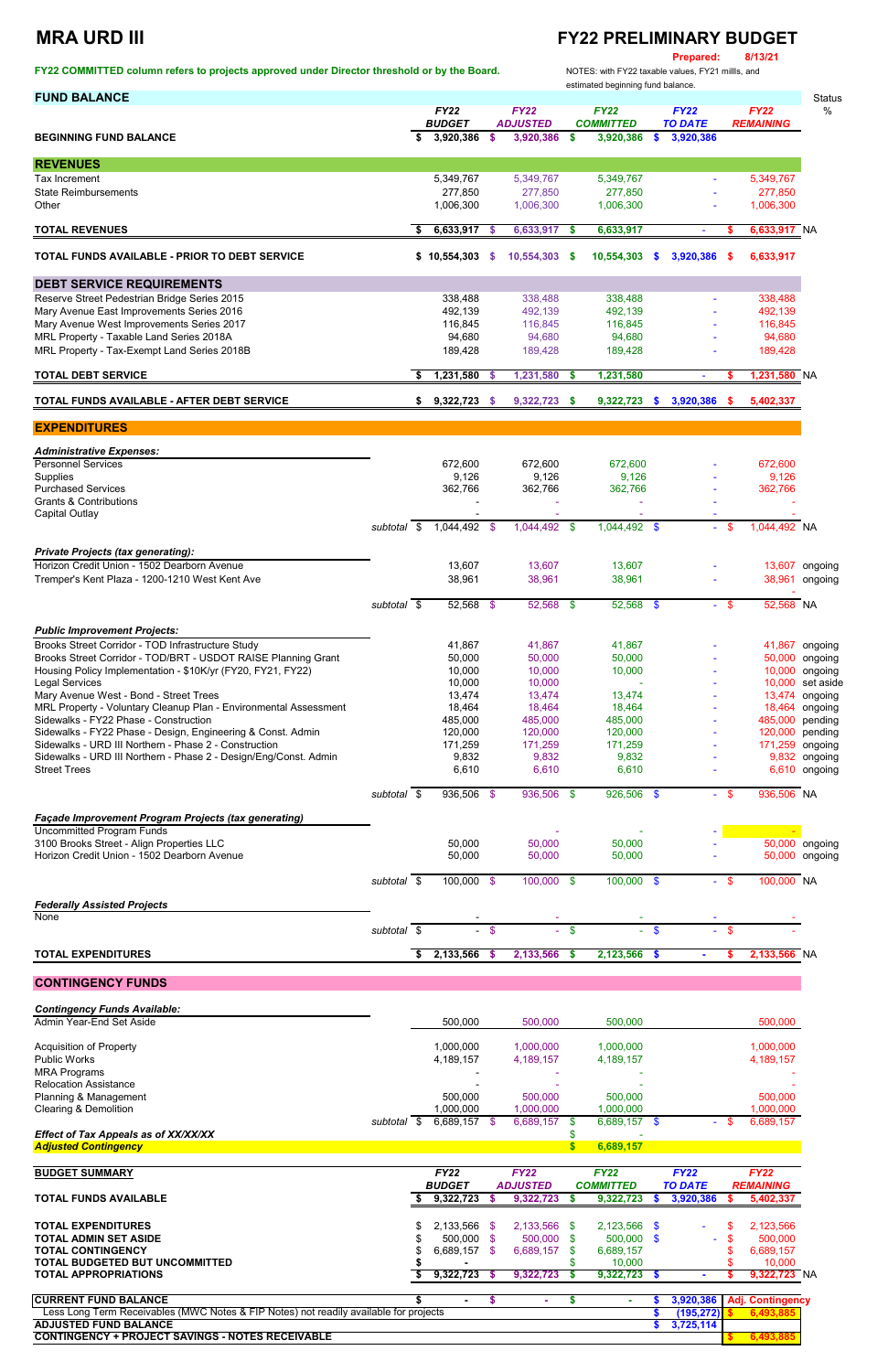### **MRA URD III FY22 PRELIMINARY BUDGET**

# **Prepared:** 8/13/21<br>NOTES: with FY22 taxable values, FY21 millls, and

FY22 COMMITTED column refers to projects approved under Director threshold or by the Board.

etimated beginning fund bala

| <b>FUND BALANCE</b>                                                                                       |                     |    |                              | esumated beginning lund balance. |                                |           |                                 |                           |                               | <b>Status</b> |                                 |                                  |
|-----------------------------------------------------------------------------------------------------------|---------------------|----|------------------------------|----------------------------------|--------------------------------|-----------|---------------------------------|---------------------------|-------------------------------|---------------|---------------------------------|----------------------------------|
|                                                                                                           |                     |    | <b>FY22</b><br><b>BUDGET</b> |                                  | <b>FY22</b><br><b>ADJUSTED</b> |           | <b>FY22</b><br><b>COMMITTED</b> |                           | <b>FY22</b><br><b>TO DATE</b> |               | <b>FY22</b><br><b>REMAINING</b> | $\%$                             |
| <b>BEGINNING FUND BALANCE</b>                                                                             |                     | \$ | 3,920,386                    | -S                               | 3,920,386 \$                   |           | 3,920,386                       | $\bullet$                 | 3,920,386                     |               |                                 |                                  |
| <b>REVENUES</b>                                                                                           |                     |    |                              |                                  |                                |           |                                 |                           |                               |               |                                 |                                  |
| <b>Tax Increment</b>                                                                                      |                     |    | 5,349,767                    |                                  | 5,349,767                      |           | 5,349,767                       |                           |                               |               | 5,349,767                       |                                  |
| <b>State Reimbursements</b>                                                                               |                     |    | 277,850                      |                                  | 277,850                        |           | 277,850                         |                           |                               |               | 277,850                         |                                  |
| Other                                                                                                     |                     |    | 1,006,300                    |                                  | 1,006,300                      |           | 1,006,300                       |                           |                               |               | 1,006,300                       |                                  |
| <b>TOTAL REVENUES</b>                                                                                     |                     | S. | $6,633,917$ \$               |                                  | 6,633,917                      | - \$      | 6,633,917                       |                           | $\sim$                        | \$            | 6,633,917 NA                    |                                  |
| <b>TOTAL FUNDS AVAILABLE - PRIOR TO DEBT SERVICE</b>                                                      |                     |    | \$10,554,303                 | s.                               | 10,554,303 \$                  |           | 10,554,303                      | - \$                      | 3,920,386                     | 5             | 6,633,917                       |                                  |
| <b>DEBT SERVICE REQUIREMENTS</b>                                                                          |                     |    |                              |                                  |                                |           |                                 |                           |                               |               |                                 |                                  |
| Reserve Street Pedestrian Bridge Series 2015                                                              |                     |    | 338,488                      |                                  | 338,488                        |           | 338,488                         |                           |                               |               | 338,488                         |                                  |
| Mary Avenue East Improvements Series 2016                                                                 |                     |    | 492,139                      |                                  | 492,139                        |           | 492,139                         |                           |                               |               | 492,139                         |                                  |
| Mary Avenue West Improvements Series 2017<br>MRL Property - Taxable Land Series 2018A                     |                     |    | 116,845<br>94,680            |                                  | 116,845<br>94,680              |           | 116,845<br>94,680               |                           |                               |               | 116,845<br>94,680               |                                  |
| MRL Property - Tax-Exempt Land Series 2018B                                                               |                     |    | 189,428                      |                                  | 189,428                        |           | 189,428                         |                           |                               |               | 189,428                         |                                  |
| <b>TOTAL DEBT SERVICE</b>                                                                                 |                     | -S | $1,231,580$ \$               |                                  | 1,231,580                      | - \$      | 1,231,580                       |                           | $\blacksquare$                | S             | 1,231,580 NA                    |                                  |
|                                                                                                           |                     |    |                              |                                  |                                |           |                                 |                           |                               |               |                                 |                                  |
| <b>TOTAL FUNDS AVAILABLE - AFTER DEBT SERVICE</b>                                                         |                     | S  | 9,322,723                    | - \$                             | $9,322,723$ \$                 |           | 9,322,723                       | - \$                      | 3,920,386                     | -S            | 5,402,337                       |                                  |
| <b>EXPENDITURES</b>                                                                                       |                     |    |                              |                                  |                                |           |                                 |                           |                               |               |                                 |                                  |
| <b>Administrative Expenses:</b>                                                                           |                     |    |                              |                                  |                                |           |                                 |                           |                               |               |                                 |                                  |
| <b>Personnel Services</b><br><b>Supplies</b>                                                              |                     |    | 672,600<br>9,126             |                                  | 672,600<br>9,126               |           | 672,600<br>9,126                |                           |                               |               | 672,600<br>9,126                |                                  |
| <b>Purchased Services</b>                                                                                 |                     |    | 362,766                      |                                  | 362,766                        |           | 362,766                         |                           |                               |               | 362,766                         |                                  |
| <b>Grants &amp; Contributions</b>                                                                         |                     |    |                              |                                  |                                |           |                                 |                           |                               |               |                                 |                                  |
| <b>Capital Outlay</b>                                                                                     |                     |    |                              |                                  |                                |           |                                 |                           |                               |               |                                 |                                  |
|                                                                                                           | subtotal \$         |    | $1,044,492$ \$               |                                  | $1,044,492$ \$                 |           | $1,044,492$ \$                  |                           | $\blacksquare$                | \$            | 1,044,492 NA                    |                                  |
| <b>Private Projects (tax generating):</b>                                                                 |                     |    |                              |                                  |                                |           |                                 |                           |                               |               |                                 |                                  |
| Horizon Credit Union - 1502 Dearborn Avenue                                                               |                     |    | 13,607                       |                                  | 13,607                         |           | 13,607                          |                           |                               |               |                                 | 13,607 ongoing                   |
| Tremper's Kent Plaza - 1200-1210 West Kent Ave                                                            |                     |    | 38,961                       |                                  | 38,961                         |           | 38,961                          |                           |                               |               |                                 | 38,961 ongoing                   |
|                                                                                                           | subtotal \$         |    | 52,568 \$                    |                                  | 52,568 \$                      |           | 52,568 \$                       |                           |                               | $-$ \$        | 52,568 NA                       |                                  |
|                                                                                                           |                     |    |                              |                                  |                                |           |                                 |                           |                               |               |                                 |                                  |
| <b>Public Improvement Projects:</b><br>Brooks Street Corridor - TOD Infrastructure Study                  |                     |    | 41,867                       |                                  | 41,867                         |           | 41,867                          |                           |                               |               |                                 | 41,867 ongoing                   |
| Brooks Street Corridor - TOD/BRT - USDOT RAISE Planning Grant                                             |                     |    | 50,000                       |                                  | 50,000                         |           | 50,000                          |                           |                               |               |                                 | 50,000 ongoing                   |
| Housing Policy Implementation - \$10K/yr (FY20, FY21, FY22)                                               |                     |    | 10,000                       |                                  | 10,000                         |           | 10,000                          |                           |                               |               | 10,000                          | ongoing                          |
| <b>Legal Services</b>                                                                                     |                     |    | 10,000                       |                                  | 10,000                         |           |                                 |                           |                               |               |                                 | 10,000 set aside                 |
| Mary Avenue West - Bond - Street Trees                                                                    |                     |    | 13,474                       |                                  | 13,474                         |           | 13,474                          |                           |                               |               |                                 | 13,474 ongoing                   |
| MRL Property - Voluntary Cleanup Plan - Environmental Assessment<br>Sidewalks - FY22 Phase - Construction |                     |    | 18,464<br>485,000            |                                  | 18,464<br>485,000              |           | 18,464<br>485,000               |                           |                               |               | 485,000 pending                 | 18,464 ongoing                   |
| Sidewalks - FY22 Phase - Design, Engineering & Const. Admin                                               |                     |    | 120,000                      |                                  | 120,000                        |           | 120,000                         |                           |                               |               | 120,000 pending                 |                                  |
| Sidewalks - URD III Northern - Phase 2 - Construction                                                     |                     |    | 171,259                      |                                  | 171,259                        |           | 171,259                         |                           |                               |               | 171,259 ongoing                 |                                  |
| Sidewalks - URD III Northern - Phase 2 - Design/Eng/Const. Admin                                          |                     |    | 9,832                        |                                  | 9,832                          |           | 9,832                           |                           |                               |               |                                 | 9,832 ongoing                    |
| <b>Street Trees</b>                                                                                       |                     |    | 6,610                        |                                  | 6,610                          |           | 6,610                           |                           |                               |               |                                 | 6,610 ongoing                    |
|                                                                                                           | subtotal \$         |    | 936,506 \$                   |                                  | 936,506 \$                     |           | 926,506 \$                      |                           |                               | $-$ \$        | 936,506 NA                      |                                  |
| Façade Improvement Program Projects (tax generating)                                                      |                     |    |                              |                                  |                                |           |                                 |                           |                               |               |                                 |                                  |
| <b>Uncommitted Program Funds</b>                                                                          |                     |    |                              |                                  |                                |           |                                 |                           |                               |               |                                 |                                  |
| 3100 Brooks Street - Align Properties LLC<br>Horizon Credit Union - 1502 Dearborn Avenue                  |                     |    | 50,000<br>50,000             |                                  | 50,000<br>50,000               |           | 50,000<br>50,000                |                           |                               |               |                                 | 50,000 ongoing<br>50,000 ongoing |
|                                                                                                           | subtotal \$         |    | 100,000 \$                   |                                  | 100,000 \$                     |           | 100,000 \$                      |                           |                               | $-$ \$        | 100,000 NA                      |                                  |
| <b>Federally Assisted Projects</b>                                                                        |                     |    |                              |                                  |                                |           |                                 |                           |                               |               |                                 |                                  |
| None                                                                                                      |                     |    |                              |                                  |                                |           |                                 |                           |                               |               |                                 |                                  |
|                                                                                                           | subtotal $\sqrt{s}$ |    | $\blacksquare$               | $\mathcal{S}$                    | ÷.                             | $\bullet$ | ÷.                              | $\boldsymbol{\mathsf{s}}$ |                               | $-$ \$        |                                 |                                  |
| <b>TOTAL EXPENDITURES</b>                                                                                 |                     | \$ | 2,133,566 \$                 |                                  | 2,133,566                      | -S        | 2,123,566 \$                    |                           |                               | S             | 2,133,566 NA                    |                                  |

**CONTINGENCY FUNDS**

|                                                                                       | 500,000          |                                                | 500,000                      |                                                             | 500,000             |                                                             |                             |    | 500,000                       |                                                             |
|---------------------------------------------------------------------------------------|------------------|------------------------------------------------|------------------------------|-------------------------------------------------------------|---------------------|-------------------------------------------------------------|-----------------------------|----|-------------------------------|-------------------------------------------------------------|
|                                                                                       |                  |                                                |                              |                                                             |                     |                                                             |                             |    |                               |                                                             |
|                                                                                       |                  |                                                |                              |                                                             |                     |                                                             |                             |    |                               |                                                             |
|                                                                                       |                  |                                                |                              |                                                             |                     |                                                             |                             |    |                               |                                                             |
|                                                                                       |                  |                                                |                              |                                                             |                     |                                                             |                             |    |                               |                                                             |
|                                                                                       |                  |                                                |                              |                                                             |                     |                                                             |                             |    |                               |                                                             |
|                                                                                       |                  |                                                |                              |                                                             |                     |                                                             |                             |    |                               |                                                             |
|                                                                                       |                  |                                                |                              |                                                             |                     |                                                             |                             | -S |                               |                                                             |
|                                                                                       |                  |                                                |                              |                                                             |                     |                                                             |                             |    |                               |                                                             |
|                                                                                       |                  |                                                |                              |                                                             |                     |                                                             |                             |    |                               |                                                             |
|                                                                                       |                  |                                                |                              |                                                             |                     |                                                             |                             |    |                               |                                                             |
|                                                                                       |                  |                                                |                              |                                                             |                     |                                                             |                             |    |                               |                                                             |
|                                                                                       | <b>FY22</b>      |                                                | <b>FY22</b>                  |                                                             | <b>FY22</b>         |                                                             | <b>FY22</b>                 |    |                               |                                                             |
|                                                                                       | <b>BUDGET</b>    |                                                |                              |                                                             | <b>COMMITTED</b>    |                                                             |                             |    | <b>FY22</b>                   |                                                             |
|                                                                                       | 9,322,723        |                                                | <b>ADJUSTED</b><br>9,322,723 | S                                                           | 9,322,723           | -S                                                          | <b>TO DATE</b><br>3,920,386 |    | <b>REMAINING</b><br>5,402,337 |                                                             |
|                                                                                       |                  |                                                |                              |                                                             |                     |                                                             |                             |    |                               |                                                             |
|                                                                                       | 2,133,566        | \$.                                            | 2,133,566                    | - \$                                                        | 2,123,566 \$        |                                                             |                             |    | 2,123,566                     |                                                             |
|                                                                                       | 500.000          | -SS                                            | 500,000                      | - \$                                                        | 500,000 \$          |                                                             |                             |    | 500,000                       |                                                             |
|                                                                                       | 6,689,157        | -S                                             | 6,689,157                    |                                                             | 6,689,157<br>10,000 |                                                             |                             |    | 6,689,157<br>10,000           |                                                             |
|                                                                                       | 9,322,723        |                                                | 9,322,723                    | - 55                                                        | $9,322,723$ \$      |                                                             |                             |    | 9,322,723 NA                  |                                                             |
|                                                                                       | ۰.               | \$                                             | ٠                            |                                                             |                     |                                                             | 3,920,386                   |    | <b>Adj. Contingency</b>       |                                                             |
| Less Long Term Receivables (MWC Notes & FIP Notes) not readily available for projects |                  |                                                |                              |                                                             |                     |                                                             | (195, 272)                  |    | 6,493,885                     |                                                             |
|                                                                                       |                  |                                                |                              |                                                             |                     | \$                                                          | 3,725,114                   |    |                               |                                                             |
|                                                                                       | - \$<br>subtotal | 1,000,000<br>4,189,157<br>500,000<br>1,000,000 | 6,689,157<br>- S             | 1,000,000<br>4,189,157<br>500,000<br>1,000,000<br>6,689,157 | - \$                | 1,000,000<br>4,189,157<br>500,000<br>1,000,000<br>6,689,157 | 6,689,157 \$                |    | ÷.                            | 1,000,000<br>4,189,157<br>500,000<br>1,000,000<br>6,689,157 |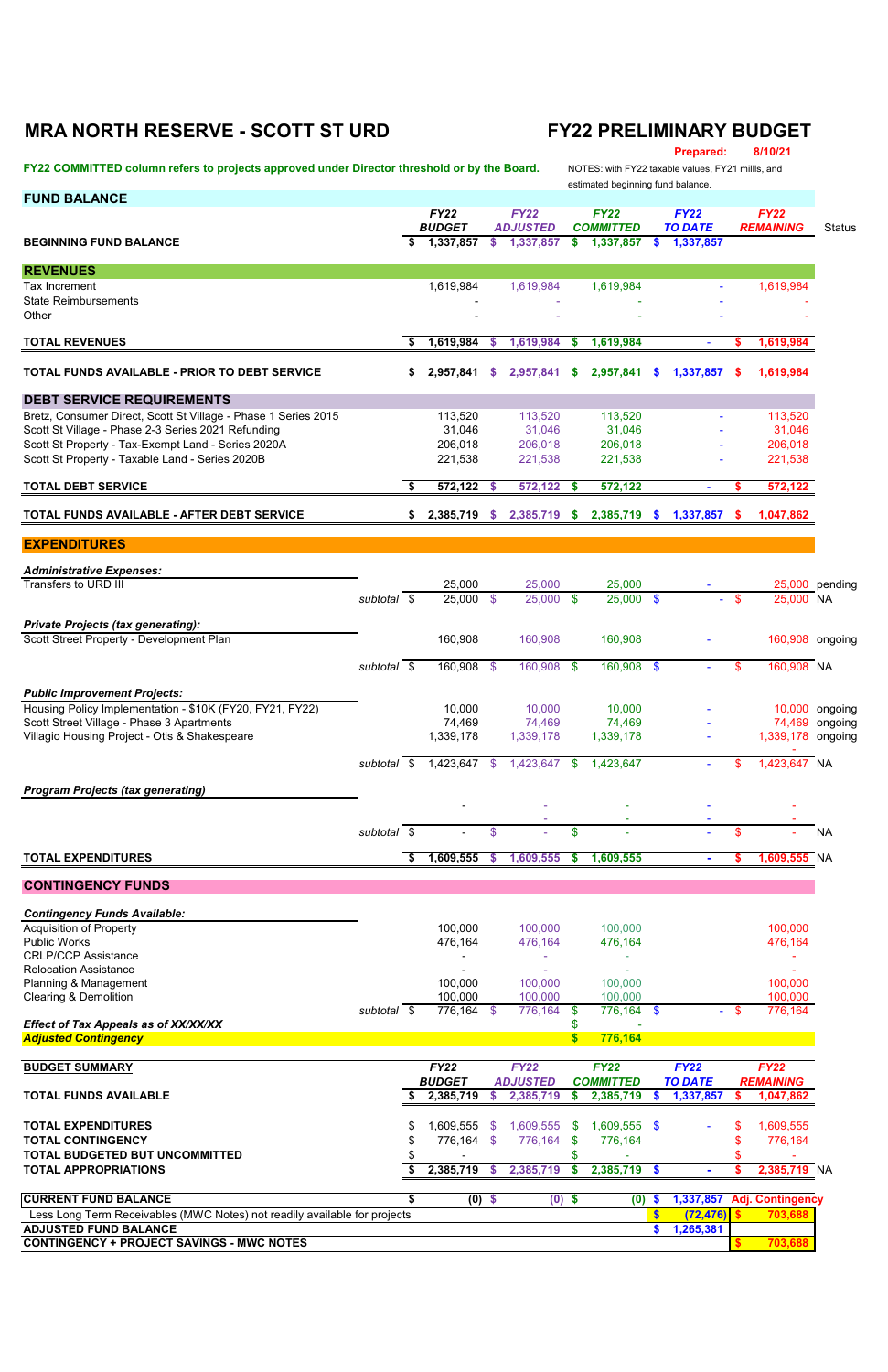### **MRA NORTH RESERVE - SCOTT ST URD FY22 PRELIMINARY BUDGET**

FY22 COMMITTED column refers to projects approved under Director threshold or by the Board. NOTES: with FY22 taxable values, FY21 millls, and

**Prepared: 8/10/21**

|                                                                                                          | estimated beginning fund balance. |    |                              |          |                                |              |                                 |                |                               |      |                                       |                |
|----------------------------------------------------------------------------------------------------------|-----------------------------------|----|------------------------------|----------|--------------------------------|--------------|---------------------------------|----------------|-------------------------------|------|---------------------------------------|----------------|
| <b>FUND BALANCE</b>                                                                                      |                                   |    | <b>FY22</b><br><b>BUDGET</b> |          | <b>FY22</b><br><b>ADJUSTED</b> |              | <b>FY22</b><br><b>COMMITTED</b> |                | <b>FY22</b><br><b>TO DATE</b> |      | <b>FY22</b><br><b>REMAINING</b>       | <b>Status</b>  |
| <b>BEGINNING FUND BALANCE</b>                                                                            |                                   |    | 1,337,857                    | S.       | 1,337,857                      | \$.          | 1,337,857                       |                | \$ 1,337,857                  |      |                                       |                |
| <b>REVENUES</b>                                                                                          |                                   |    |                              |          |                                |              |                                 |                |                               |      |                                       |                |
| <b>Tax Increment</b>                                                                                     |                                   |    | 1,619,984                    |          | 1,619,984                      |              | 1,619,984                       |                |                               |      | 1,619,984                             |                |
| <b>State Reimbursements</b><br>Other                                                                     |                                   |    |                              |          |                                |              |                                 |                |                               |      |                                       |                |
| <b>TOTAL REVENUES</b>                                                                                    |                                   | S. | 1,619,984                    | <b>S</b> | 1,619,984                      | - \$         | 1,619,984                       |                |                               | S.   | 1,619,984                             |                |
| TOTAL FUNDS AVAILABLE - PRIOR TO DEBT SERVICE                                                            |                                   | S. | 2,957,841                    | S.       | 2,957,841                      | <b>S</b>     | 2,957,841                       | <b>S</b>       | 1,337,857                     | - 5  | 1,619,984                             |                |
| <b>DEBT SERVICE REQUIREMENTS</b>                                                                         |                                   |    |                              |          |                                |              |                                 |                |                               |      |                                       |                |
| Bretz, Consumer Direct, Scott St Village - Phase 1 Series 2015                                           |                                   |    | 113,520                      |          | 113,520                        |              | 113,520                         |                |                               |      | 113,520                               |                |
| Scott St Village - Phase 2-3 Series 2021 Refunding<br>Scott St Property - Tax-Exempt Land - Series 2020A |                                   |    | 31,046<br>206,018            |          | 31,046<br>206,018              |              | 31,046<br>206,018               |                |                               |      | 31,046<br>206,018                     |                |
| Scott St Property - Taxable Land - Series 2020B                                                          |                                   |    | 221,538                      |          | 221,538                        |              | 221,538                         |                |                               |      | 221,538                               |                |
| <b>TOTAL DEBT SERVICE</b>                                                                                |                                   | \$ | 572,122 \$                   |          | $572,122$ \$                   |              | 572,122                         |                |                               | s.   | 572,122                               |                |
|                                                                                                          |                                   |    |                              |          |                                |              |                                 |                |                               |      |                                       |                |
| TOTAL FUNDS AVAILABLE - AFTER DEBT SERVICE                                                               |                                   | S. | 2,385,719                    | S.       | 2,385,719                      | - 5          | 2,385,719                       | \$             | 1,337,857                     | S    | 1,047,862                             |                |
| <b>EXPENDITURES</b>                                                                                      |                                   |    |                              |          |                                |              |                                 |                |                               |      |                                       |                |
| <b>Administrative Expenses:</b>                                                                          |                                   |    |                              |          |                                |              |                                 |                |                               |      |                                       |                |
| Transfers to URD III                                                                                     | subtotal \$                       |    | 25,000<br>25,000 \$          |          | 25,000<br>$25,000$ \$          |              | 25,000<br>$25,000$ \$           |                |                               | -S   | 25,000 NA                             | 25,000 pending |
|                                                                                                          |                                   |    |                              |          |                                |              |                                 |                |                               |      |                                       |                |
| <b>Private Projects (tax generating):</b><br>Scott Street Property - Development Plan                    |                                   |    | 160,908                      |          | 160,908                        |              | 160,908                         |                |                               |      | 160,908 ongoing                       |                |
|                                                                                                          |                                   |    |                              |          |                                |              |                                 |                |                               |      |                                       |                |
|                                                                                                          | subtotal \$                       |    | 160,908 \$                   |          | 160,908 \$                     |              | $160,908$ \$                    |                |                               | \$   | 160,908 NA                            |                |
| <b>Public Improvement Projects:</b>                                                                      |                                   |    |                              |          |                                |              |                                 |                |                               |      |                                       |                |
| Housing Policy Implementation - \$10K (FY20, FY21, FY22)<br>Scott Street Village - Phase 3 Apartments    |                                   |    | 10,000<br>74,469             |          | 10,000<br>74,469               |              | 10,000<br>74,469                |                |                               |      | 74,469                                | 10,000 ongoing |
| Villagio Housing Project - Otis & Shakespeare                                                            |                                   |    | 1,339,178                    |          | 1,339,178                      |              | 1,339,178                       |                |                               |      | 1,339,178 ongoing                     | ongoing        |
|                                                                                                          |                                   |    |                              |          |                                |              |                                 |                |                               |      |                                       |                |
|                                                                                                          | subtotal \$                       |    | 1,423,647                    | S.       | 1,423,647                      | \$           | 1,423,647                       |                |                               | S    | 1,423,647 NA                          |                |
| <b>Program Projects (tax generating)</b>                                                                 |                                   |    |                              |          |                                |              |                                 |                |                               |      |                                       |                |
|                                                                                                          |                                   |    |                              |          |                                |              | $\sim$                          |                |                               |      |                                       |                |
|                                                                                                          | subtotal $\overline{\$}$          |    |                              | \$       | ÷.                             | \$           | $\sim$                          |                | $\bar{\phantom{a}}$           | \$   | $\sim$                                | <b>NA</b>      |
| <b>TOTAL EXPENDITURES</b>                                                                                |                                   |    | 1,609,555                    | \$       | 1,609,555                      | - 5          | 1,609,555                       |                | $\blacksquare$                | S    | 1,609,555 NA                          |                |
| <b>CONTINGENCY FUNDS</b>                                                                                 |                                   |    |                              |          |                                |              |                                 |                |                               |      |                                       |                |
| <b>Contingency Funds Available:</b>                                                                      |                                   |    |                              |          |                                |              |                                 |                |                               |      |                                       |                |
| <b>Acquisition of Property</b>                                                                           |                                   |    | 100,000                      |          | 100,000                        |              | 100,000                         |                |                               |      | 100,000                               |                |
| <b>Public Works</b>                                                                                      |                                   |    | 476,164                      |          | 476,164                        |              | 476,164                         |                |                               |      | 476,164                               |                |
| <b>CRLP/CCP Assistance</b><br><b>Relocation Assistance</b>                                               |                                   |    |                              |          |                                |              |                                 |                |                               |      |                                       |                |
| Planning & Management                                                                                    |                                   |    | 100,000                      |          | 100,000                        |              | 100,000                         |                |                               |      | 100,000                               |                |
| <b>Clearing &amp; Demolition</b>                                                                         |                                   |    | 100,000                      |          | 100,000                        |              | 100,000                         |                |                               |      | 100,000                               |                |
| Effect of Tax Appeals as of XX/XX/XX                                                                     | subtotal \$                       |    | 776,164 \$                   |          | 776,164                        | - \$         | 776,164 \$                      |                |                               | - \$ | 776,164                               |                |
| <b>Adjusted Contingency</b>                                                                              |                                   |    |                              |          |                                | $\mathbf{s}$ | 776,164                         |                |                               |      |                                       |                |
| <b>BUDGET SUMMARY</b>                                                                                    |                                   |    | FY22                         |          | <b>FY22</b>                    |              | FY22                            |                | <b>FY22</b>                   |      | <b>FY22</b>                           |                |
|                                                                                                          |                                   |    | <b>BUDGET</b>                |          | <b>ADJUSTED</b>                |              | <b>COMMITTED</b>                |                | <b>TO DATE</b>                |      | <b>REMAINING</b>                      |                |
| <b>TOTAL FUNDS AVAILABLE</b>                                                                             |                                   | S. | 2,385,719                    | \$.      | 2,385,719                      | S            | 2,385,719                       | S.             | 1,337,857                     | S.   | 1,047,862                             |                |
| <b>TOTAL EXPENDITURES</b>                                                                                |                                   | S  | 1,609,555                    | -S       | 1,609,555                      | \$           | 1,609,555 \$                    |                |                               |      | 1,609,555                             |                |
| <b>TOTAL CONTINGENCY</b>                                                                                 |                                   | S  | 776,164                      | -\$      | 776,164                        | \$           | 776,164                         |                |                               |      | 776,164                               |                |
| TOTAL BUDGETED BUT UNCOMMITTED                                                                           |                                   |    |                              |          |                                | \$.          |                                 |                |                               |      |                                       |                |
| <b>TOTAL APPROPRIATIONS</b>                                                                              |                                   |    | 2,385,719                    | <b>S</b> | 2,385,719                      | - \$         | 2,385,719                       | <b>S</b>       |                               | \$.  | 2,385,719 NA                          |                |
|                                                                                                          |                                   |    |                              |          |                                |              |                                 |                |                               |      |                                       |                |
| <b>CURRENT FUND BALANCE</b><br>Less Long Term Receivables (MWC Notes) not readily available for projects |                                   | \$ | $(0)$ \$                     |          |                                | $(0)$ \$     |                                 | $(0)$ \$<br>\$ | (72, 476)                     |      | 1,337,857 Adj. Contingency<br>703,688 |                |
| <b>ADJUSTED FUND BALANCE</b>                                                                             |                                   |    |                              |          |                                |              |                                 | $\bullet$      | 1,265,381                     |      |                                       |                |
| <b>CONTINGENCY + PROJECT SAVINGS - MWC NOTES</b>                                                         |                                   |    |                              |          |                                |              |                                 |                |                               | \$.  | 703,688                               |                |